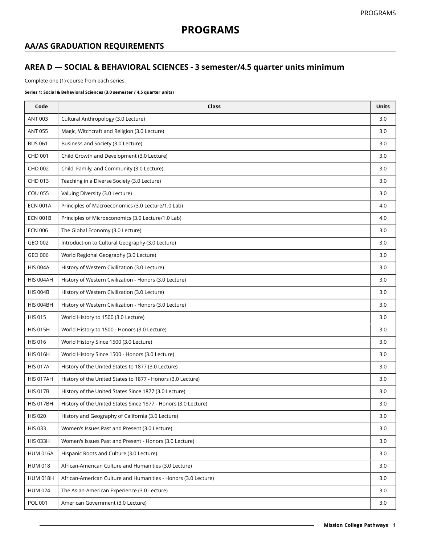# **PROGRAMS**

## **AA/AS GRADUATION REQUIREMENTS**

### **AREA D — SOCIAL & BEHAVIORAL SCIENCES - 3 semester/4.5 quarter units minimum**

Complete one (1) course from each series.

#### **Series 1: Social & Behavioral Sciences (3.0 semester / 4.5 quarter units)**

| Code             | Class                                                          | <b>Units</b> |
|------------------|----------------------------------------------------------------|--------------|
| ANT 003          | Cultural Anthropology (3.0 Lecture)                            | 3.0          |
| <b>ANT 055</b>   | Magic, Witchcraft and Religion (3.0 Lecture)                   | 3.0          |
| <b>BUS 061</b>   | Business and Society (3.0 Lecture)                             | 3.0          |
| CHD 001          | Child Growth and Development (3.0 Lecture)                     | 3.0          |
| CHD 002          | Child, Family, and Community (3.0 Lecture)                     | 3.0          |
| CHD 013          | Teaching in a Diverse Society (3.0 Lecture)                    | 3.0          |
| <b>COU 055</b>   | Valuing Diversity (3.0 Lecture)                                | 3.0          |
| <b>ECN 001A</b>  | Principles of Macroeconomics (3.0 Lecture/1.0 Lab)             | 4.0          |
| <b>ECN 001B</b>  | Principles of Microeconomics (3.0 Lecture/1.0 Lab)             | 4.0          |
| <b>ECN 006</b>   | The Global Economy (3.0 Lecture)                               | 3.0          |
| GEO 002          | Introduction to Cultural Geography (3.0 Lecture)               | 3.0          |
| GEO 006          | World Regional Geography (3.0 Lecture)                         | 3.0          |
| <b>HIS 004A</b>  | History of Western Civilization (3.0 Lecture)                  | 3.0          |
| HIS 004AH        | History of Western Civilization - Honors (3.0 Lecture)         | 3.0          |
| <b>HIS 004B</b>  | History of Western Civilization (3.0 Lecture)                  | 3.0          |
| <b>HIS 004BH</b> | History of Western Civilization - Honors (3.0 Lecture)         | 3.0          |
| <b>HIS 015</b>   | World History to 1500 (3.0 Lecture)                            | 3.0          |
| <b>HIS 015H</b>  | World History to 1500 - Honors (3.0 Lecture)                   | 3.0          |
| <b>HIS 016</b>   | World History Since 1500 (3.0 Lecture)                         | 3.0          |
| <b>HIS 016H</b>  | World History Since 1500 - Honors (3.0 Lecture)                | 3.0          |
| <b>HIS 017A</b>  | History of the United States to 1877 (3.0 Lecture)             | 3.0          |
| <b>HIS 017AH</b> | History of the United States to 1877 - Honors (3.0 Lecture)    | 3.0          |
| <b>HIS 017B</b>  | History of the United States Since 1877 (3.0 Lecture)          | 3.0          |
| <b>HIS 017BH</b> | History of the United States Since 1877 - Honors (3.0 Lecture) | 3.0          |
| <b>HIS 020</b>   | History and Geography of California (3.0 Lecture)              | 3.0          |
| <b>HIS 033</b>   | Women's Issues Past and Present (3.0 Lecture)                  | 3.0          |
| <b>HIS 033H</b>  | Women's Issues Past and Present - Honors (3.0 Lecture)         | 3.0          |
| <b>HUM 016A</b>  | Hispanic Roots and Culture (3.0 Lecture)                       | 3.0          |
| <b>HUM 018</b>   | African-American Culture and Humanities (3.0 Lecture)          | 3.0          |
| <b>HUM 018H</b>  | African-American Culture and Humanities - Honors (3.0 Lecture) | 3.0          |
| <b>HUM 024</b>   | The Asian-American Experience (3.0 Lecture)                    | 3.0          |
| <b>POL 001</b>   | American Government (3.0 Lecture)                              | 3.0          |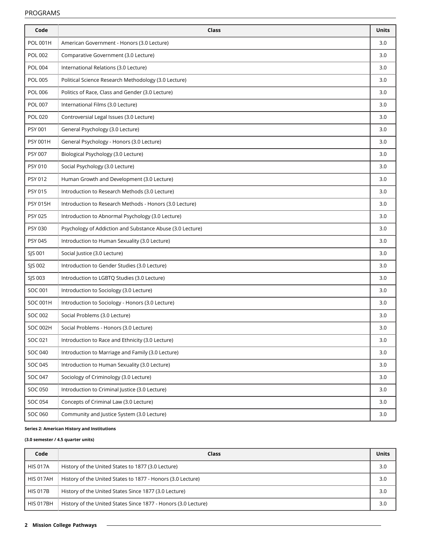### PROGRAMS

| Code            | Class                                                     | <b>Units</b> |
|-----------------|-----------------------------------------------------------|--------------|
| <b>POL 001H</b> | American Government - Honors (3.0 Lecture)                | 3.0          |
| <b>POL 002</b>  | Comparative Government (3.0 Lecture)                      | 3.0          |
| <b>POL 004</b>  | International Relations (3.0 Lecture)                     | 3.0          |
| <b>POL 005</b>  | Political Science Research Methodology (3.0 Lecture)      | 3.0          |
| <b>POL 006</b>  | Politics of Race, Class and Gender (3.0 Lecture)          | 3.0          |
| POL 007         | International Films (3.0 Lecture)                         | 3.0          |
| <b>POL 020</b>  | Controversial Legal Issues (3.0 Lecture)                  | 3.0          |
| <b>PSY 001</b>  | General Psychology (3.0 Lecture)                          | 3.0          |
| <b>PSY 001H</b> | General Psychology - Honors (3.0 Lecture)                 | 3.0          |
| <b>PSY 007</b>  | Biological Psychology (3.0 Lecture)                       | 3.0          |
| <b>PSY 010</b>  | Social Psychology (3.0 Lecture)                           | 3.0          |
| PSY 012         | Human Growth and Development (3.0 Lecture)                | 3.0          |
| PSY 015         | Introduction to Research Methods (3.0 Lecture)            | 3.0          |
| <b>PSY 015H</b> | Introduction to Research Methods - Honors (3.0 Lecture)   | 3.0          |
| <b>PSY 025</b>  | Introduction to Abnormal Psychology (3.0 Lecture)         | 3.0          |
| PSY 030         | Psychology of Addiction and Substance Abuse (3.0 Lecture) | 3.0          |
| PSY 045         | Introduction to Human Sexuality (3.0 Lecture)             | 3.0          |
| SJS 001         | Social Justice (3.0 Lecture)                              | 3.0          |
| SJS 002         | Introduction to Gender Studies (3.0 Lecture)              | 3.0          |
| SJS 003         | Introduction to LGBTQ Studies (3.0 Lecture)               | 3.0          |
| SOC 001         | Introduction to Sociology (3.0 Lecture)                   | 3.0          |
| <b>SOC 001H</b> | Introduction to Sociology - Honors (3.0 Lecture)          | 3.0          |
| SOC 002         | Social Problems (3.0 Lecture)                             | 3.0          |
| <b>SOC 002H</b> | Social Problems - Honors (3.0 Lecture)                    | 3.0          |
| SOC 021         | Introduction to Race and Ethnicity (3.0 Lecture)          | 3.0          |
| <b>SOC 040</b>  | Introduction to Marriage and Family (3.0 Lecture)         | 3.0          |
| SOC 045         | Introduction to Human Sexuality (3.0 Lecture)             | 3.0          |
| <b>SOC 047</b>  | Sociology of Criminology (3.0 Lecture)                    | 3.0          |
| <b>SOC 050</b>  | Introduction to Criminal Justice (3.0 Lecture)            | 3.0          |
| <b>SOC 054</b>  | Concepts of Criminal Law (3.0 Lecture)                    | 3.0          |
| SOC 060         | Community and Justice System (3.0 Lecture)                | 3.0          |

#### **Series 2: American History and Institutions**

### **(3.0 semester / 4.5 quarter units)**

| Code             | Class                                                          | <b>Units</b> |
|------------------|----------------------------------------------------------------|--------------|
| <b>HIS 017A</b>  | History of the United States to 1877 (3.0 Lecture)             | 3.0          |
| <b>HIS 017AH</b> | History of the United States to 1877 - Honors (3.0 Lecture)    | 3.0          |
| <b>HIS 017B</b>  | History of the United States Since 1877 (3.0 Lecture)          | 3.0          |
| <b>HIS 017BH</b> | History of the United States Since 1877 - Honors (3.0 Lecture) | 3.0          |